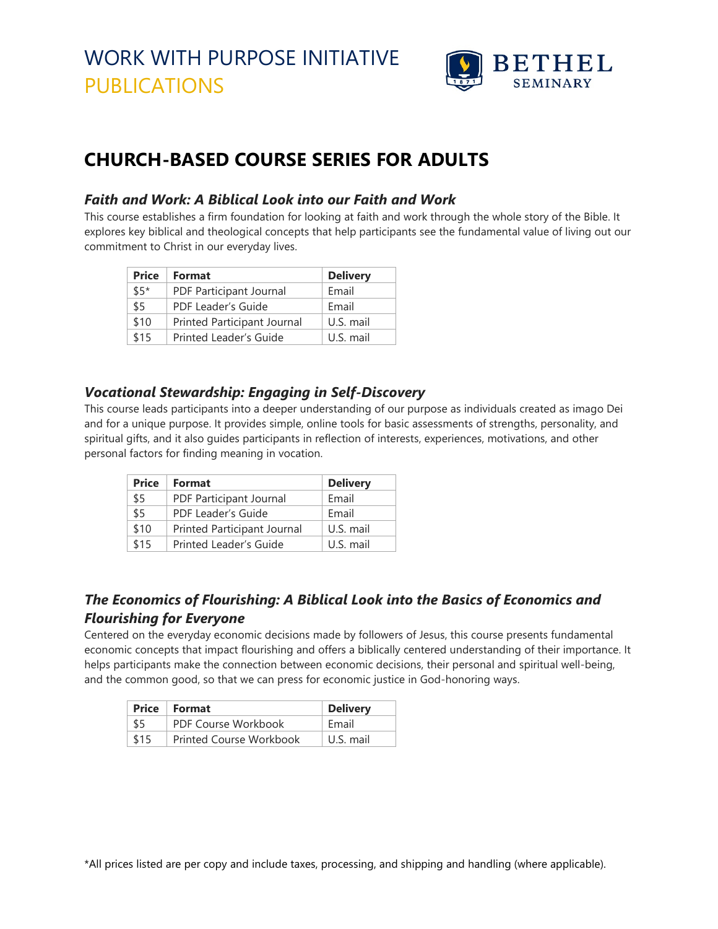

## **CHURCH-BASED COURSE SERIES FOR ADULTS**

### *Faith and Work: A Biblical Look into our Faith and Work*

This course establishes a firm foundation for looking at faith and work through the whole story of the Bible. It explores key biblical and theological concepts that help participants see the fundamental value of living out our commitment to Christ in our everyday lives.

| <b>Price</b> | Format                      | <b>Delivery</b> |
|--------------|-----------------------------|-----------------|
| $$5*$        | PDF Participant Journal     | Email           |
| \$5          | PDF Leader's Guide          | Email           |
| \$10         | Printed Participant Journal | U.S. mail       |
| \$15         | Printed Leader's Guide      | U.S. mail       |

#### *Vocational Stewardship: Engaging in Self-Discovery*

This course leads participants into a deeper understanding of our purpose as individuals created as imago Dei and for a unique purpose. It provides simple, online tools for basic assessments of strengths, personality, and spiritual gifts, and it also guides participants in reflection of interests, experiences, motivations, and other personal factors for finding meaning in vocation.

| <b>Price</b> | Format                      | <b>Delivery</b> |
|--------------|-----------------------------|-----------------|
| \$5          | PDF Participant Journal     | Email           |
| \$5          | PDF Leader's Guide          | Fmail           |
| \$10         | Printed Participant Journal | U.S. mail       |
| \$15         | Printed Leader's Guide      | U.S. mail       |

## *The Economics of Flourishing: A Biblical Look into the Basics of Economics and Flourishing for Everyone*

Centered on the everyday economic decisions made by followers of Jesus, this course presents fundamental economic concepts that impact flourishing and offers a biblically centered understanding of their importance. It helps participants make the connection between economic decisions, their personal and spiritual well-being, and the common good, so that we can press for economic justice in God-honoring ways.

|      | Price   Format                 | <b>Delivery</b> |
|------|--------------------------------|-----------------|
| \$5  | PDF Course Workbook            | Fmail           |
| \$15 | <b>Printed Course Workbook</b> | U.S. mail       |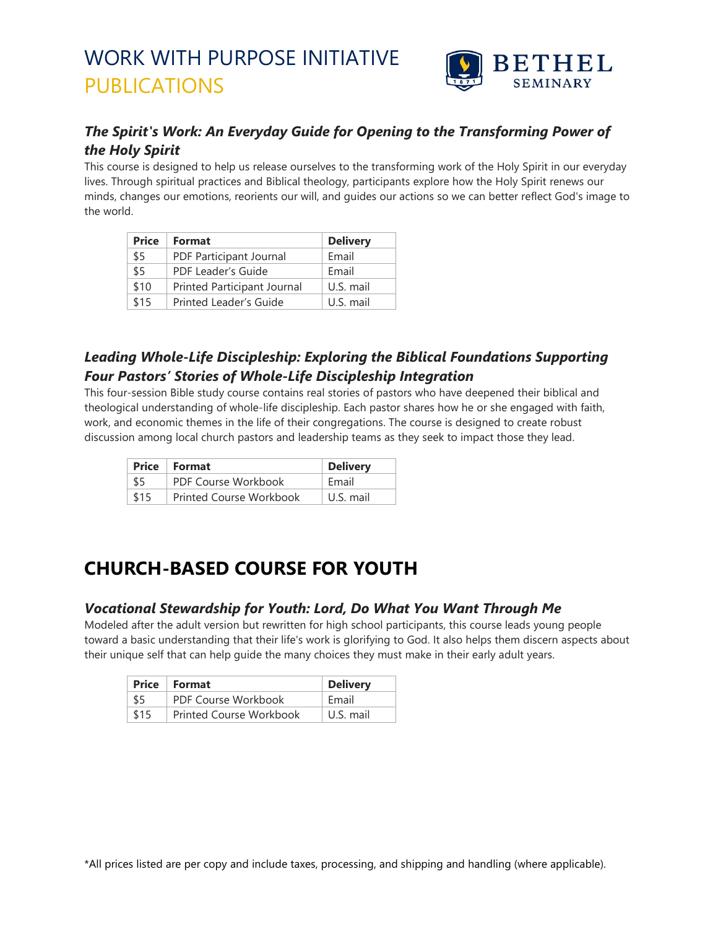

### *The Spirit's Work: An Everyday Guide for Opening to the Transforming Power of the Holy Spirit*

This course is designed to help us release ourselves to the transforming work of the Holy Spirit in our everyday lives. Through spiritual practices and Biblical theology, participants explore how the Holy Spirit renews our minds, changes our emotions, reorients our will, and guides our actions so we can better reflect God's image to the world.

| <b>Price</b> | Format                      | <b>Delivery</b> |
|--------------|-----------------------------|-----------------|
| \$5          | PDF Participant Journal     | Email           |
| \$5          | PDF Leader's Guide          | Email           |
| \$10         | Printed Participant Journal | U.S. mail       |
| \$15         | Printed Leader's Guide      | U.S. mail       |

### *Leading Whole-Life Discipleship: Exploring the Biblical Foundations Supporting Four Pastors' Stories of Whole-Life Discipleship Integration*

This four-session Bible study course contains real stories of pastors who have deepened their biblical and theological understanding of whole-life discipleship. Each pastor shares how he or she engaged with faith, work, and economic themes in the life of their congregations. The course is designed to create robust discussion among local church pastors and leadership teams as they seek to impact those they lead.

|      | Price   Format          | <b>Delivery</b> |
|------|-------------------------|-----------------|
| \$5  | PDF Course Workbook     | Fmail           |
| \$15 | Printed Course Workbook | U.S. mail       |

## **CHURCH-BASED COURSE FOR YOUTH**

#### *Vocational Stewardship for Youth: Lord, Do What You Want Through Me*

Modeled after the adult version but rewritten for high school participants, this course leads young people toward a basic understanding that their life's work is glorifying to God. It also helps them discern aspects about their unique self that can help guide the many choices they must make in their early adult years.

|      | <b>Price</b> Format            | <b>Delivery</b> |
|------|--------------------------------|-----------------|
| \$5  | PDF Course Workbook            | Fmail           |
| \$15 | <b>Printed Course Workbook</b> | U.S. mail       |